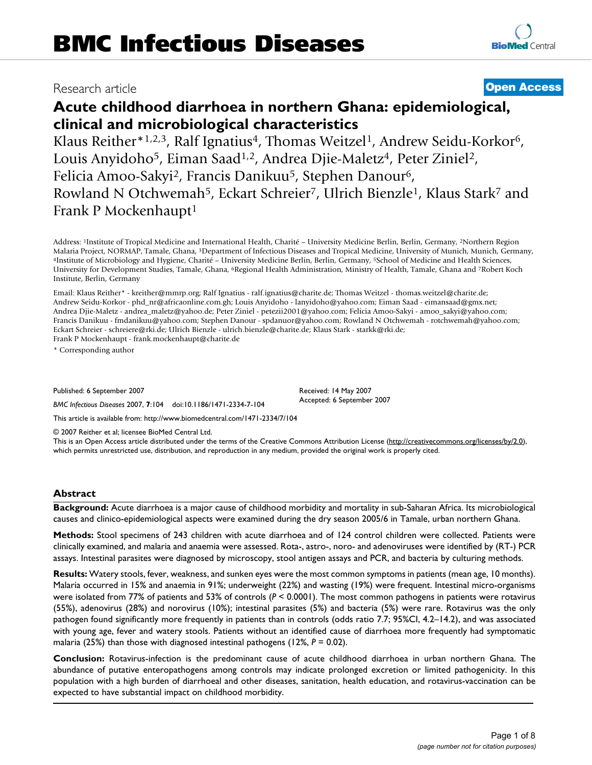# Research article **[Open Access](http://www.biomedcentral.com/info/about/charter/)**

# **Acute childhood diarrhoea in northern Ghana: epidemiological, clinical and microbiological characteristics**

Klaus Reither\*<sup>1,2,3</sup>, Ralf Ignatius<sup>4</sup>, Thomas Weitzel<sup>1</sup>, Andrew Seidu-Korkor<sup>6</sup>, Louis Anyidoho<sup>5</sup>, Eiman Saad<sup>1,2</sup>, Andrea Djie-Maletz<sup>4</sup>, Peter Ziniel<sup>2</sup>, Felicia Amoo-Sakyi<sup>2</sup>, Francis Danikuu<sup>5</sup>, Stephen Danour<sup>6</sup>, Rowland N Otchwemah<sup>5</sup>, Eckart Schreier<sup>7</sup>, Ulrich Bienzle<sup>1</sup>, Klaus Stark<sup>7</sup> and Frank P Mockenhaupt<sup>1</sup>

Address: 1Institute of Tropical Medicine and International Health, Charité – University Medicine Berlin, Berlin, Germany, 2Northern Region Malaria Project, NORMAP, Tamale, Ghana, <sup>3</sup>Department of Infectious Diseases and Tropical Medicine, University of Munich, Munich, Germany, 4Institute of Microbiology and Hygiene, Charité - University Medicine Berlin, Berli University for Development Studies, Tamale, Ghana, 6Regional Health Administration, Ministry of Health, Tamale, Ghana and 7Robert Koch Institute, Berlin, Germany

Email: Klaus Reither\* - kreither@mmrp.org; Ralf Ignatius - ralf.ignatius@charite.de; Thomas Weitzel - thomas.weitzel@charite.de; Andrew Seidu-Korkor - phd\_nr@africaonline.com.gh; Louis Anyidoho - lanyidoho@yahoo.com; Eiman Saad - eimansaad@gmx.net; Andrea Djie-Maletz - andrea\_maletz@yahoo.de; Peter Ziniel - petezii2001@yahoo.com; Felicia Amoo-Sakyi - amoo\_sakyi@yahoo.com; Francis Danikuu - fmdanikuu@yahoo.com; Stephen Danour - spdanuor@yahoo.com; Rowland N Otchwemah - rotchwemah@yahoo.com; Eckart Schreier - schreiere@rki.de; Ulrich Bienzle - ulrich.bienzle@charite.de; Klaus Stark - starkk@rki.de; Frank P Mockenhaupt - frank.mockenhaupt@charite.de

\* Corresponding author

Published: 6 September 2007 *BMC Infectious Diseases* 2007, **7**:104 doi:10.1186/1471-2334-7-104 Received: 14 May 2007 Accepted: 6 September 2007

[This article is available from: http://www.biomedcentral.com/1471-2334/7/104](http://www.biomedcentral.com/1471-2334/7/104)

© 2007 Reither et al; licensee BioMed Central Ltd.

This is an Open Access article distributed under the terms of the Creative Commons Attribution License [\(http://creativecommons.org/licenses/by/2.0\)](http://creativecommons.org/licenses/by/2.0), which permits unrestricted use, distribution, and reproduction in any medium, provided the original work is properly cited.

# **Abstract**

**Background:** Acute diarrhoea is a major cause of childhood morbidity and mortality in sub-Saharan Africa. Its microbiological causes and clinico-epidemiological aspects were examined during the dry season 2005/6 in Tamale, urban northern Ghana.

**Methods:** Stool specimens of 243 children with acute diarrhoea and of 124 control children were collected. Patients were clinically examined, and malaria and anaemia were assessed. Rota-, astro-, noro- and adenoviruses were identified by (RT-) PCR assays. Intestinal parasites were diagnosed by microscopy, stool antigen assays and PCR, and bacteria by culturing methods.

**Results:** Watery stools, fever, weakness, and sunken eyes were the most common symptoms in patients (mean age, 10 months). Malaria occurred in 15% and anaemia in 91%; underweight (22%) and wasting (19%) were frequent. Intestinal micro-organisms were isolated from 77% of patients and 53% of controls (*P* < 0.0001). The most common pathogens in patients were rotavirus (55%), adenovirus (28%) and norovirus (10%); intestinal parasites (5%) and bacteria (5%) were rare. Rotavirus was the only pathogen found significantly more frequently in patients than in controls (odds ratio 7.7; 95%CI, 4.2–14.2), and was associated with young age, fever and watery stools. Patients without an identified cause of diarrhoea more frequently had symptomatic malaria (25%) than those with diagnosed intestinal pathogens (12%, *P* = 0.02).

**Conclusion:** Rotavirus-infection is the predominant cause of acute childhood diarrhoea in urban northern Ghana. The abundance of putative enteropathogens among controls may indicate prolonged excretion or limited pathogenicity. In this population with a high burden of diarrhoeal and other diseases, sanitation, health education, and rotavirus-vaccination can be expected to have substantial impact on childhood morbidity.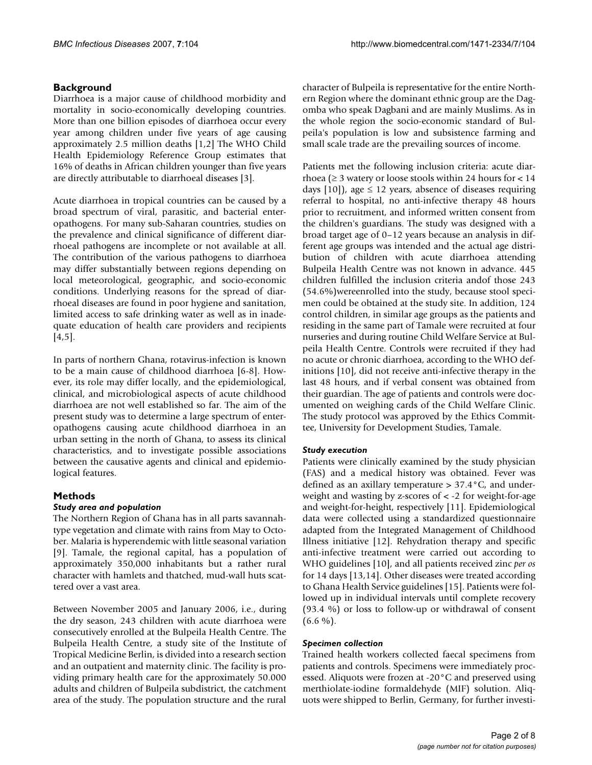# **Background**

Diarrhoea is a major cause of childhood morbidity and mortality in socio-economically developing countries. More than one billion episodes of diarrhoea occur every year among children under five years of age causing approximately 2.5 million deaths [1,2] The WHO Child Health Epidemiology Reference Group estimates that 16% of deaths in African children younger than five years are directly attributable to diarrhoeal diseases [3].

Acute diarrhoea in tropical countries can be caused by a broad spectrum of viral, parasitic, and bacterial enteropathogens. For many sub-Saharan countries, studies on the prevalence and clinical significance of different diarrhoeal pathogens are incomplete or not available at all. The contribution of the various pathogens to diarrhoea may differ substantially between regions depending on local meteorological, geographic, and socio-economic conditions. Underlying reasons for the spread of diarrhoeal diseases are found in poor hygiene and sanitation, limited access to safe drinking water as well as in inadequate education of health care providers and recipients [4,5].

In parts of northern Ghana, rotavirus-infection is known to be a main cause of childhood diarrhoea [6-8]. However, its role may differ locally, and the epidemiological, clinical, and microbiological aspects of acute childhood diarrhoea are not well established so far. The aim of the present study was to determine a large spectrum of enteropathogens causing acute childhood diarrhoea in an urban setting in the north of Ghana, to assess its clinical characteristics, and to investigate possible associations between the causative agents and clinical and epidemiological features.

# **Methods**

# *Study area and population*

The Northern Region of Ghana has in all parts savannahtype vegetation and climate with rains from May to October. Malaria is hyperendemic with little seasonal variation [9]. Tamale, the regional capital, has a population of approximately 350,000 inhabitants but a rather rural character with hamlets and thatched, mud-wall huts scattered over a vast area.

Between November 2005 and January 2006, i.e., during the dry season, 243 children with acute diarrhoea were consecutively enrolled at the Bulpeila Health Centre. The Bulpeila Health Centre, a study site of the Institute of Tropical Medicine Berlin, is divided into a research section and an outpatient and maternity clinic. The facility is providing primary health care for the approximately 50.000 adults and children of Bulpeila subdistrict, the catchment area of the study. The population structure and the rural

character of Bulpeila is representative for the entire Northern Region where the dominant ethnic group are the Dagomba who speak Dagbani and are mainly Muslims. As in the whole region the socio-economic standard of Bulpeila's population is low and subsistence farming and small scale trade are the prevailing sources of income.

Patients met the following inclusion criteria: acute diarrhoea ( $\geq$  3 watery or loose stools within 24 hours for  $<$  14 days [10]), age  $\leq$  12 years, absence of diseases requiring referral to hospital, no anti-infective therapy 48 hours prior to recruitment, and informed written consent from the children's guardians. The study was designed with a broad target age of 0–12 years because an analysis in different age groups was intended and the actual age distribution of children with acute diarrhoea attending Bulpeila Health Centre was not known in advance. 445 children fulfilled the inclusion criteria andof those 243 (54.6%)wereenrolled into the study, because stool specimen could be obtained at the study site. In addition, 124 control children, in similar age groups as the patients and residing in the same part of Tamale were recruited at four nurseries and during routine Child Welfare Service at Bulpeila Health Centre. Controls were recruited if they had no acute or chronic diarrhoea, according to the WHO definitions [10], did not receive anti-infective therapy in the last 48 hours, and if verbal consent was obtained from their guardian. The age of patients and controls were documented on weighing cards of the Child Welfare Clinic. The study protocol was approved by the Ethics Committee, University for Development Studies, Tamale.

#### *Study execution*

Patients were clinically examined by the study physician (FAS) and a medical history was obtained. Fever was defined as an axillary temperature > 37.4°C, and underweight and wasting by z-scores of < -2 for weight-for-age and weight-for-height, respectively [11]. Epidemiological data were collected using a standardized questionnaire adapted from the Integrated Management of Childhood Illness initiative [12]. Rehydration therapy and specific anti-infective treatment were carried out according to WHO guidelines [10], and all patients received zinc *per os* for 14 days [13,14]. Other diseases were treated according to Ghana Health Service guidelines [15]. Patients were followed up in individual intervals until complete recovery (93.4 %) or loss to follow-up or withdrawal of consent  $(6.6\%).$ 

#### *Specimen collection*

Trained health workers collected faecal specimens from patients and controls. Specimens were immediately processed. Aliquots were frozen at -20°C and preserved using merthiolate-iodine formaldehyde (MIF) solution. Aliquots were shipped to Berlin, Germany, for further investi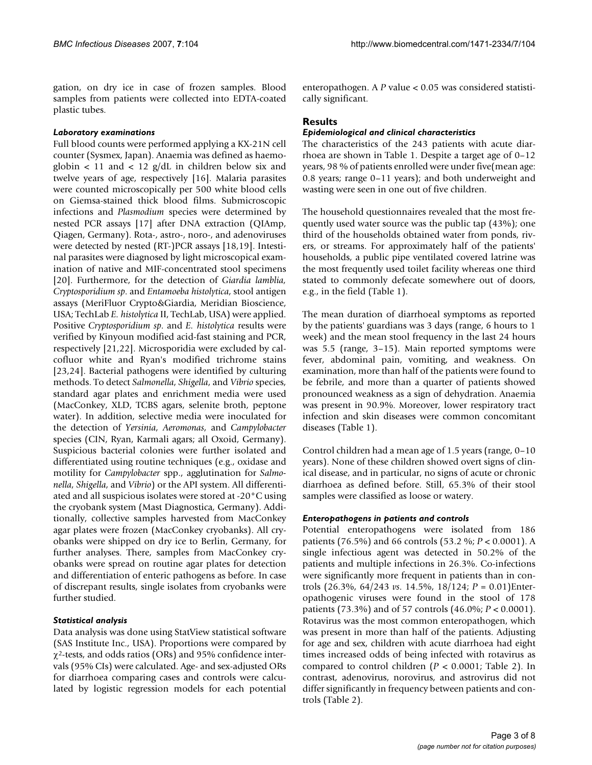gation, on dry ice in case of frozen samples. Blood samples from patients were collected into EDTA-coated plastic tubes.

#### *Laboratory examinations*

Full blood counts were performed applying a KX-21N cell counter (Sysmex, Japan). Anaemia was defined as haemoglobin  $\langle 11 \rangle$  and  $\langle 12 \rangle$  g/dL in children below six and twelve years of age, respectively [16]. Malaria parasites were counted microscopically per 500 white blood cells on Giemsa-stained thick blood films. Submicroscopic infections and *Plasmodium* species were determined by nested PCR assays [17] after DNA extraction (QIAmp, Qiagen, Germany). Rota-, astro-, noro-, and adenoviruses were detected by nested (RT-)PCR assays [18,19]. Intestinal parasites were diagnosed by light microscopical examination of native and MIF-concentrated stool specimens [20]. Furthermore, for the detection of *Giardia lamblia, Cryptosporidium sp*. and *Entamoeba histolytica*, stool antigen assays (MeriFluor Crypto&Giardia, Meridian Bioscience, USA; TechLab *E. histolytica* II, TechLab, USA) were applied. Positive *Cryptosporidium sp*. and *E. histolytica* results were verified by Kinyoun modified acid-fast staining and PCR, respectively [21,22]. Microsporidia were excluded by calcofluor white and Ryan's modified trichrome stains [23,24]. Bacterial pathogens were identified by culturing methods. To detect *Salmonella*, *Shigella*, and *Vibrio* species, standard agar plates and enrichment media were used (MacConkey, XLD, TCBS agars, selenite broth, peptone water). In addition, selective media were inoculated for the detection of *Yersinia*, *Aeromonas*, and *Campylobacter* species (CIN, Ryan, Karmali agars; all Oxoid, Germany). Suspicious bacterial colonies were further isolated and differentiated using routine techniques (e.g., oxidase and motility for *Campylobacter* spp., agglutination for *Salmonella*, *Shigella*, and *Vibrio*) or the API system. All differentiated and all suspicious isolates were stored at -20°C using the cryobank system (Mast Diagnostica, Germany). Additionally, collective samples harvested from MacConkey agar plates were frozen (MacConkey cryobanks). All cryobanks were shipped on dry ice to Berlin, Germany, for further analyses. There, samples from MacConkey cryobanks were spread on routine agar plates for detection and differentiation of enteric pathogens as before. In case of discrepant results, single isolates from cryobanks were further studied.

#### *Statistical analysis*

Data analysis was done using StatView statistical software (SAS Institute Inc., USA). Proportions were compared by  $\chi^2$ -tests, and odds ratios (ORs) and 95% confidence intervals (95% CIs) were calculated. Age- and sex-adjusted ORs for diarrhoea comparing cases and controls were calculated by logistic regression models for each potential

enteropathogen. A *P* value < 0.05 was considered statistically significant.

# **Results**

### *Epidemiological and clinical characteristics*

The characteristics of the 243 patients with acute diarrhoea are shown in Table 1. Despite a target age of 0–12 years, 98 % of patients enrolled were under five(mean age: 0.8 years; range 0–11 years); and both underweight and wasting were seen in one out of five children.

The household questionnaires revealed that the most frequently used water source was the public tap (43%); one third of the households obtained water from ponds, rivers, or streams. For approximately half of the patients' households, a public pipe ventilated covered latrine was the most frequently used toilet facility whereas one third stated to commonly defecate somewhere out of doors, e.g., in the field (Table 1).

The mean duration of diarrhoeal symptoms as reported by the patients' guardians was 3 days (range, 6 hours to 1 week) and the mean stool frequency in the last 24 hours was 5.5 (range, 3–15). Main reported symptoms were fever, abdominal pain, vomiting, and weakness. On examination, more than half of the patients were found to be febrile, and more than a quarter of patients showed pronounced weakness as a sign of dehydration. Anaemia was present in 90.9%. Moreover, lower respiratory tract infection and skin diseases were common concomitant diseases (Table 1).

Control children had a mean age of 1.5 years (range, 0–10 years). None of these children showed overt signs of clinical disease, and in particular, no signs of acute or chronic diarrhoea as defined before. Still, 65.3% of their stool samples were classified as loose or watery.

#### *Enteropathogens in patients and controls*

Potential enteropathogens were isolated from 186 patients (76.5%) and 66 controls (53.2 %; *P* < 0.0001). A single infectious agent was detected in 50.2% of the patients and multiple infections in 26.3%. Co-infections were significantly more frequent in patients than in controls (26.3%, 64/243 *vs*. 14.5%, 18/124; *P* = 0.01)Enteropathogenic viruses were found in the stool of 178 patients (73.3%) and of 57 controls (46.0%; *P* < 0.0001). Rotavirus was the most common enteropathogen, which was present in more than half of the patients. Adjusting for age and sex, children with acute diarrhoea had eight times increased odds of being infected with rotavirus as compared to control children (*P* < 0.0001; Table 2). In contrast, adenovirus, norovirus, and astrovirus did not differ significantly in frequency between patients and controls (Table 2).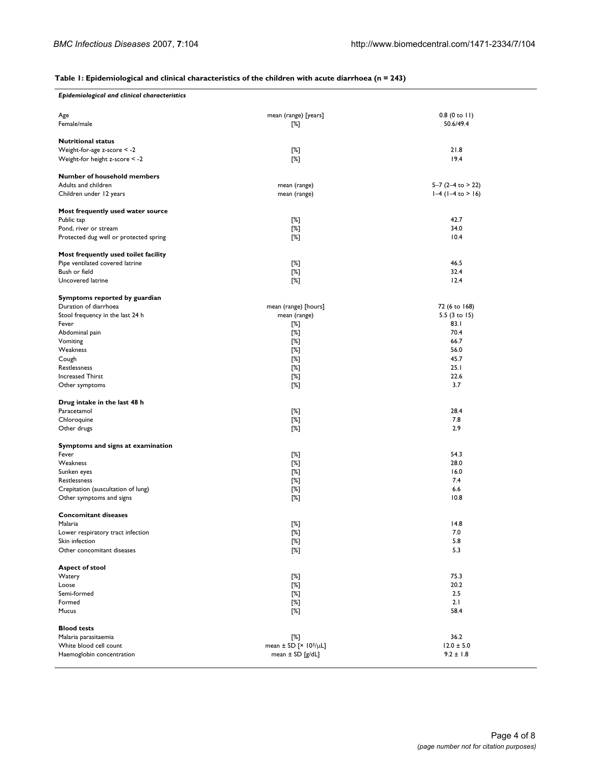# **Table 1: Epidemiological and clinical characteristics of the children with acute diarrhoea (n = 243)**

*Epidemiological and clinical characteristics*

| Age                                    | mean (range) [years]                                | $0.8$ (0 to 11)           |
|----------------------------------------|-----------------------------------------------------|---------------------------|
| Female/male                            | [%]                                                 | 50.6/49.4                 |
|                                        |                                                     |                           |
| <b>Nutritional status</b>              |                                                     |                           |
| Weight-for-age z-score $<$ -2          | [%]                                                 | 21.8                      |
| Weight-for height z-score < -2         | [%]                                                 | 19.4                      |
|                                        |                                                     |                           |
| <b>Number of household members</b>     |                                                     |                           |
| Adults and children                    | mean (range)                                        | $5-7$ (2-4 to > 22)       |
|                                        |                                                     |                           |
| Children under 12 years                | mean (range)                                        | $1-4$ ( $1-4$ to $> 16$ ) |
|                                        |                                                     |                           |
| Most frequently used water source      |                                                     |                           |
| Public tap                             | [%]                                                 | 42.7                      |
| Pond, river or stream                  | $[\%]$                                              | 34.0                      |
| Protected dug well or protected spring | [%]                                                 | 10.4                      |
|                                        |                                                     |                           |
| Most frequently used toilet facility   |                                                     |                           |
| Pipe ventilated covered latrine        | [%]                                                 | 46.5                      |
| Bush or field                          | [%]                                                 | 32.4                      |
| Uncovered latrine                      | [%]                                                 | 12.4                      |
|                                        |                                                     |                           |
| Symptoms reported by guardian          |                                                     |                           |
| Duration of diarrhoea                  | mean (range) [hours]                                | 72 (6 to 168)             |
| Stool frequency in the last 24 h       | mean (range)                                        | $5.5$ (3 to 15)           |
| Fever                                  | [%]                                                 | 83.1                      |
| Abdominal pain                         | [%]                                                 | 70.4                      |
| Vomiting                               | [%]                                                 | 66.7                      |
| Weakness                               | [%]                                                 | 56.0                      |
|                                        |                                                     |                           |
| Cough                                  | [%]                                                 | 45.7                      |
| Restlessness                           | [%]                                                 | 25.1                      |
| <b>Increased Thirst</b>                | [%]                                                 | 22.6                      |
| Other symptoms                         | [%]                                                 | 3.7                       |
|                                        |                                                     |                           |
| Drug intake in the last 48 h           |                                                     |                           |
| Paracetamol                            | [%]                                                 | 28.4                      |
| Chloroquine                            | [%]                                                 | 7.8                       |
| Other drugs                            | [%]                                                 | 2.9                       |
|                                        |                                                     |                           |
| Symptoms and signs at examination      |                                                     |                           |
| Fever                                  | [%]                                                 | 54.3                      |
| Weakness                               | [%]                                                 | 28.0                      |
| Sunken eyes                            | [%]                                                 | 16.0                      |
| Restlessness                           | [%]                                                 | 7.4                       |
| Crepitation (auscultation of lung)     | [%]                                                 | 6.6                       |
| Other symptoms and signs               | [%]                                                 | 10.8                      |
|                                        |                                                     |                           |
| <b>Concomitant diseases</b>            |                                                     |                           |
| Malaria                                |                                                     | 14.8                      |
|                                        | [%]                                                 |                           |
| Lower respiratory tract infection      | [%]                                                 | $7.0$                     |
| Skin infection                         | $[\%]$                                              | 5.8                       |
| Other concomitant diseases             | [%]                                                 | 5.3                       |
|                                        |                                                     |                           |
| <b>Aspect of stool</b>                 |                                                     |                           |
| Watery                                 | [%]                                                 | 75.3                      |
| Loose                                  | [%]                                                 | 20.2                      |
| Semi-formed                            | [%]                                                 | 2.5                       |
| Formed                                 | [%]                                                 | 2.1                       |
| Mucus                                  | [%]                                                 | 58.4                      |
|                                        |                                                     |                           |
| <b>Blood tests</b>                     |                                                     |                           |
| Malaria parasitaemia                   | [%]                                                 | 36.2                      |
| White blood cell count                 | mean $\pm$ SD [ $\times$ 10 <sup>3</sup> / $\mu$ L] | $12.0 \pm 5.0$            |
| Haemoglobin concentration              | mean $\pm$ SD [g/dL]                                | $9.2 \pm 1.8$             |
|                                        |                                                     |                           |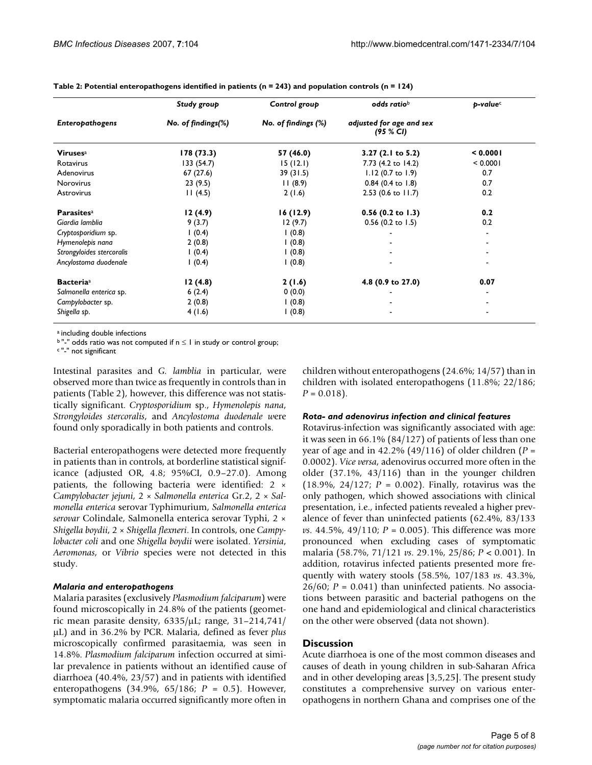|                               | Study group        | Control group       | odds ratio <sup>b</sup>               | p-value <sup>c</sup> |
|-------------------------------|--------------------|---------------------|---------------------------------------|----------------------|
| Enteropathogens               | No. of findings(%) | No. of findings (%) | adjusted for age and sex<br>(95 % CI) |                      |
| <b>Viruses</b> <sup>a</sup>   | 178 (73.3)         | 57 (46.0)           | 3.27 (2.1 to 5.2)                     | 0.0001               |
| Rotavirus                     | 133(54.7)          | 15(12.1)            | 7.73 (4.2 to 14.2)                    | < 0.0001             |
| Adenovirus                    | 67(27.6)           | 39(31.5)            | $1.12$ (0.7 to 1.9)                   | 0.7                  |
| <b>Norovirus</b>              | 23(9.5)            | 11(8.9)             | $0.84$ (0.4 to 1.8)                   | 0.7                  |
| Astrovirus                    | 11(4.5)            | 2(1.6)              | $2.53$ (0.6 to 11.7)                  | 0.2                  |
| <b>Parasites</b> <sup>a</sup> | 12(4.9)            | 16(12.9)            | $0.56$ (0.2 to 1.3)                   | 0.2                  |
| Giardia lamblia               | 9(3.7)             | 12(9.7)             | $0.56$ (0.2 to 1.5)                   | 0.2                  |
| Cryptosporidium sp.           | 1(0.4)             | (0.8)               |                                       |                      |
| Hymenolepis nana              | 2(0.8)             | (0.8)               |                                       |                      |
| Strongyloides stercoralis     | 1(0.4)             | (0.8)               |                                       |                      |
| Ancylostoma duodenale         | 1(0.4)             | (0.8)               |                                       |                      |
| <b>Bacteria</b> <sup>a</sup>  | 12(4.8)            | 2(1.6)              | 4.8 (0.9 to 27.0)                     | 0.07                 |
| Salmonella enterica sp.       | 6(2.4)             | 0(0.0)              |                                       |                      |
| Campylobacter sp.             | 2(0.8)             | (0.8)               |                                       |                      |
| Shigella sp.                  | 4(1.6)             | (0.8)               |                                       | $\blacksquare$       |

**Table 2: Potential enteropathogens identified in patients (n = 243) and population controls (n = 124)**

a including double infections

 $b$ "-" odds ratio was not computed if  $n \leq 1$  in study or control group;

c "-" not significant

Intestinal parasites and *G. lamblia* in particular, were observed more than twice as frequently in controls than in patients (Table 2), however, this difference was not statistically significant. *Cryptosporidium* sp., *Hymenolepis nana*, *Strongyloides stercoralis*, and *Ancylostoma duodenale w*ere found only sporadically in both patients and controls.

Bacterial enteropathogens were detected more frequently in patients than in controls, at borderline statistical significance (adjusted OR, 4.8; 95%CI, 0.9–27.0). Among patients, the following bacteria were identified: 2 × *Campylobacter jejuni*, 2 × *Salmonella enterica* Gr.2, 2 × *Salmonella enterica* serovar Typhimurium, *Salmonella enterica serovar* Colindale, Salmonella enterica serovar Typhi, 2 × *Shigella boydii*, 2 × *Shigella flexneri*. In controls, one *Campylobacter coli* and one *Shigella boydii* were isolated. *Yersinia*, *Aeromonas*, or *Vibrio* species were not detected in this study.

# *Malaria and enteropathogens*

Malaria parasites (exclusively *Plasmodium falciparum*) were found microscopically in 24.8% of the patients (geometric mean parasite density, 6335/µL; range, 31–214,741/ µL) and in 36.2% by PCR. Malaria, defined as fever *plus* microscopically confirmed parasitaemia, was seen in 14.8%. *Plasmodium falciparum* infection occurred at similar prevalence in patients without an identified cause of diarrhoea (40.4%, 23/57) and in patients with identified enteropathogens (34.9%, 65/186; *P* = 0.5). However, symptomatic malaria occurred significantly more often in children without enteropathogens (24.6%; 14/57) than in children with isolated enteropathogens (11.8%; 22/186;  $P = 0.018$ .

#### *Rota- and adenovirus infection and clinical features*

Rotavirus-infection was significantly associated with age: it was seen in 66.1% (84/127) of patients of less than one year of age and in 42.2% (49/116) of older children (*P* = 0.0002). *Vice versa*, adenovirus occurred more often in the older (37.1%, 43/116) than in the younger children (18.9%, 24/127; *P* = 0.002). Finally, rotavirus was the only pathogen, which showed associations with clinical presentation, i.e., infected patients revealed a higher prevalence of fever than uninfected patients (62.4%, 83/133 *vs*. 44.5%, 49/110; *P* = 0.005). This difference was more pronounced when excluding cases of symptomatic malaria (58.7%, 71/121 *vs*. 29.1%, 25/86; *P* < 0.001). In addition, rotavirus infected patients presented more frequently with watery stools (58.5%, 107/183 *vs*. 43.3%,  $26/60$ ;  $P = 0.041$ ) than uninfected patients. No associations between parasitic and bacterial pathogens on the one hand and epidemiological and clinical characteristics on the other were observed (data not shown).

# **Discussion**

Acute diarrhoea is one of the most common diseases and causes of death in young children in sub-Saharan Africa and in other developing areas [3,5,25]. The present study constitutes a comprehensive survey on various enteropathogens in northern Ghana and comprises one of the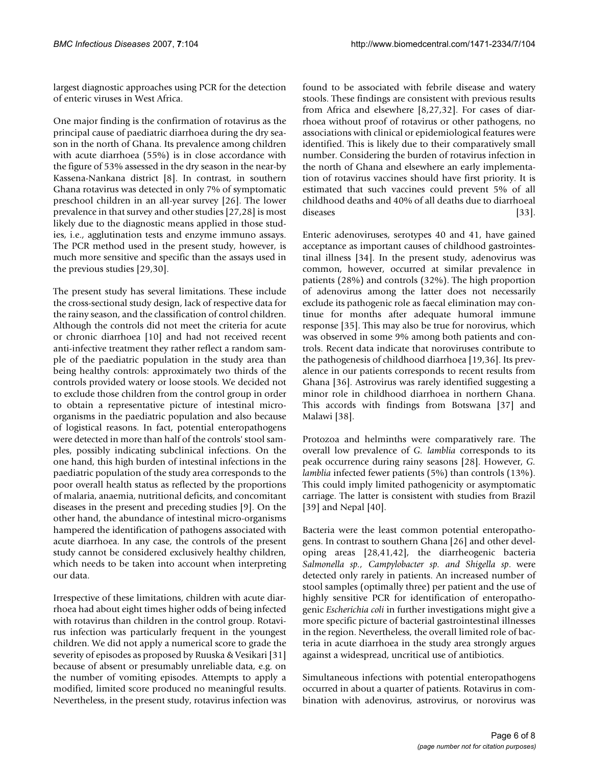largest diagnostic approaches using PCR for the detection of enteric viruses in West Africa.

One major finding is the confirmation of rotavirus as the principal cause of paediatric diarrhoea during the dry season in the north of Ghana. Its prevalence among children with acute diarrhoea (55%) is in close accordance with the figure of 53% assessed in the dry season in the near-by Kassena-Nankana district [8]. In contrast, in southern Ghana rotavirus was detected in only 7% of symptomatic preschool children in an all-year survey [26]. The lower prevalence in that survey and other studies [27,28] is most likely due to the diagnostic means applied in those studies, i.e., agglutination tests and enzyme immuno assays. The PCR method used in the present study, however, is much more sensitive and specific than the assays used in the previous studies [29,30].

The present study has several limitations. These include the cross-sectional study design, lack of respective data for the rainy season, and the classification of control children. Although the controls did not meet the criteria for acute or chronic diarrhoea [10] and had not received recent anti-infective treatment they rather reflect a random sample of the paediatric population in the study area than being healthy controls: approximately two thirds of the controls provided watery or loose stools. We decided not to exclude those children from the control group in order to obtain a representative picture of intestinal microorganisms in the paediatric population and also because of logistical reasons. In fact, potential enteropathogens were detected in more than half of the controls' stool samples, possibly indicating subclinical infections. On the one hand, this high burden of intestinal infections in the paediatric population of the study area corresponds to the poor overall health status as reflected by the proportions of malaria, anaemia, nutritional deficits, and concomitant diseases in the present and preceding studies [9]. On the other hand, the abundance of intestinal micro-organisms hampered the identification of pathogens associated with acute diarrhoea. In any case, the controls of the present study cannot be considered exclusively healthy children, which needs to be taken into account when interpreting our data.

Irrespective of these limitations, children with acute diarrhoea had about eight times higher odds of being infected with rotavirus than children in the control group. Rotavirus infection was particularly frequent in the youngest children. We did not apply a numerical score to grade the severity of episodes as proposed by Ruuska & Vesikari [31] because of absent or presumably unreliable data, e.g. on the number of vomiting episodes. Attempts to apply a modified, limited score produced no meaningful results. Nevertheless, in the present study, rotavirus infection was

found to be associated with febrile disease and watery stools. These findings are consistent with previous results from Africa and elsewhere [8,27,32]. For cases of diarrhoea without proof of rotavirus or other pathogens, no associations with clinical or epidemiological features were identified. This is likely due to their comparatively small number. Considering the burden of rotavirus infection in the north of Ghana and elsewhere an early implementation of rotavirus vaccines should have first priority. It is estimated that such vaccines could prevent 5% of all childhood deaths and 40% of all deaths due to diarrhoeal diseases [33].

Enteric adenoviruses, serotypes 40 and 41, have gained acceptance as important causes of childhood gastrointestinal illness [34]. In the present study, adenovirus was common, however, occurred at similar prevalence in patients (28%) and controls (32%). The high proportion of adenovirus among the latter does not necessarily exclude its pathogenic role as faecal elimination may continue for months after adequate humoral immune response [35]. This may also be true for norovirus, which was observed in some 9% among both patients and controls. Recent data indicate that noroviruses contribute to the pathogenesis of childhood diarrhoea [19,36]. Its prevalence in our patients corresponds to recent results from Ghana [36]. Astrovirus was rarely identified suggesting a minor role in childhood diarrhoea in northern Ghana. This accords with findings from Botswana [37] and Malawi [38].

Protozoa and helminths were comparatively rare. The overall low prevalence of *G. lamblia* corresponds to its peak occurrence during rainy seasons [28]. However, *G. lamblia* infected fewer patients (5%) than controls (13%). This could imply limited pathogenicity or asymptomatic carriage. The latter is consistent with studies from Brazil [39] and Nepal [40].

Bacteria were the least common potential enteropathogens. In contrast to southern Ghana [26] and other developing areas [28,41,42], the diarrheogenic bacteria *Salmonella sp., Campylobacter sp. and Shigella sp*. were detected only rarely in patients. An increased number of stool samples (optimally three) per patient and the use of highly sensitive PCR for identification of enteropathogenic *Escherichia coli* in further investigations might give a more specific picture of bacterial gastrointestinal illnesses in the region. Nevertheless, the overall limited role of bacteria in acute diarrhoea in the study area strongly argues against a widespread, uncritical use of antibiotics.

Simultaneous infections with potential enteropathogens occurred in about a quarter of patients. Rotavirus in combination with adenovirus, astrovirus, or norovirus was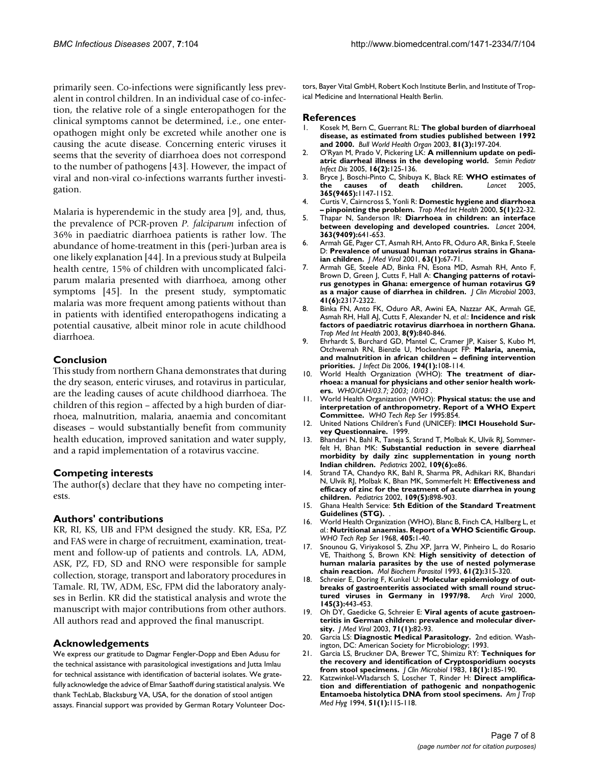primarily seen. Co-infections were significantly less prevalent in control children. In an individual case of co-infection, the relative role of a single enteropathogen for the clinical symptoms cannot be determined, i.e., one enteropathogen might only be excreted while another one is causing the acute disease. Concerning enteric viruses it seems that the severity of diarrhoea does not correspond to the number of pathogens [43]. However, the impact of viral and non-viral co-infections warrants further investigation.

Malaria is hyperendemic in the study area [9], and, thus, the prevalence of PCR-proven *P. falciparum* infection of 36% in paediatric diarrhoea patients is rather low. The abundance of home-treatment in this (peri-)urban area is one likely explanation [44]. In a previous study at Bulpeila health centre, 15% of children with uncomplicated falciparum malaria presented with diarrhoea, among other symptoms [45]. In the present study, symptomatic malaria was more frequent among patients without than in patients with identified enteropathogens indicating a potential causative, albeit minor role in acute childhood diarrhoea.

# **Conclusion**

This study from northern Ghana demonstrates that during the dry season, enteric viruses, and rotavirus in particular, are the leading causes of acute childhood diarrhoea. The children of this region – affected by a high burden of diarrhoea, malnutrition, malaria, anaemia and concomitant diseases – would substantially benefit from community health education, improved sanitation and water supply, and a rapid implementation of a rotavirus vaccine.

#### **Competing interests**

The author(s) declare that they have no competing interests.

#### **Authors' contributions**

KR, RI, KS, UB and FPM designed the study. KR, ESa, PZ and FAS were in charge of recruitment, examination, treatment and follow-up of patients and controls. LA, ADM, ASK, PZ, FD, SD and RNO were responsible for sample collection, storage, transport and laboratory procedures in Tamale. RI, TW, ADM, ESc, FPM did the laboratory analyses in Berlin. KR did the statistical analysis and wrote the manuscript with major contributions from other authors. All authors read and approved the final manuscript.

# **Acknowledgements**

We express our gratitude to Dagmar Fengler-Dopp and Eben Adusu for the technical assistance with parasitological investigations and Jutta Imlau for technical assistance with identification of bacterial isolates. We gratefully acknowledge the advice of Elmar Saathoff during statistical analysis. We thank TechLab, Blacksburg VA, USA, for the donation of stool antigen assays. Financial support was provided by German Rotary Volunteer Doctors, Bayer Vital GmbH, Robert Koch Institute Berlin, and Institute of Tropical Medicine and International Health Berlin.

#### **References**

- 1. Kosek M, Bern C, Guerrant RL: **[The global burden of diarrhoeal](http://www.ncbi.nlm.nih.gov/entrez/query.fcgi?cmd=Retrieve&db=PubMed&dopt=Abstract&list_uids=12764516) [disease, as estimated from studies published between 1992](http://www.ncbi.nlm.nih.gov/entrez/query.fcgi?cmd=Retrieve&db=PubMed&dopt=Abstract&list_uids=12764516) [and 2000.](http://www.ncbi.nlm.nih.gov/entrez/query.fcgi?cmd=Retrieve&db=PubMed&dopt=Abstract&list_uids=12764516)** *Bull World Health Organ* 2003, **81(3):**197-204.
- 2. O'Ryan M, Prado V, Pickering LK: **[A millennium update on pedi](http://www.ncbi.nlm.nih.gov/entrez/query.fcgi?cmd=Retrieve&db=PubMed&dopt=Abstract&list_uids=15825143)[atric diarrheal illness in the developing world.](http://www.ncbi.nlm.nih.gov/entrez/query.fcgi?cmd=Retrieve&db=PubMed&dopt=Abstract&list_uids=15825143)** *Semin Pediatr Infect Dis* 2005, **16(2):**125-136.
- 3. Bryce J, Boschi-Pinto C, Shibuya K, Black RE: **[WHO estimates of](http://www.ncbi.nlm.nih.gov/entrez/query.fcgi?cmd=Retrieve&db=PubMed&dopt=Abstract&list_uids=15794969)**  $children.$ **365(9465):**1147-1152.
- 4. Curtis V, Cairncross S, Yonli R: **[Domestic hygiene and diarrhoea](http://www.ncbi.nlm.nih.gov/entrez/query.fcgi?cmd=Retrieve&db=PubMed&dopt=Abstract&list_uids=10672202) [– pinpointing the problem.](http://www.ncbi.nlm.nih.gov/entrez/query.fcgi?cmd=Retrieve&db=PubMed&dopt=Abstract&list_uids=10672202)** *Trop Med Int Health* 2000, **5(1):**22-32.
- 5. Thapar N, Sanderson IR: **[Diarrhoea in children: an interface](http://www.ncbi.nlm.nih.gov/entrez/query.fcgi?cmd=Retrieve&db=PubMed&dopt=Abstract&list_uids=14987892) [between developing and developed countries.](http://www.ncbi.nlm.nih.gov/entrez/query.fcgi?cmd=Retrieve&db=PubMed&dopt=Abstract&list_uids=14987892)** *Lancet* 2004, **363(9409):**641-653.
- 6. Armah GE, Pager CT, Asmah RH, Anto FR, Oduro AR, Binka F, Steele D: **[Prevalence of unusual human rotavirus strains in Ghana](http://www.ncbi.nlm.nih.gov/entrez/query.fcgi?cmd=Retrieve&db=PubMed&dopt=Abstract&list_uids=11130890)[ian children.](http://www.ncbi.nlm.nih.gov/entrez/query.fcgi?cmd=Retrieve&db=PubMed&dopt=Abstract&list_uids=11130890)** *J Med Virol* 2001, **63(1):**67-71.
- 7. Armah GE, Steele AD, Binka FN, Esona MD, Asmah RH, Anto F, Brown D, Green J, Cutts F, Hall A: **[Changing patterns of rotavi](http://www.ncbi.nlm.nih.gov/entrez/query.fcgi?cmd=Retrieve&db=PubMed&dopt=Abstract&list_uids=12791843)[rus genotypes in Ghana: emergence of human rotavirus G9](http://www.ncbi.nlm.nih.gov/entrez/query.fcgi?cmd=Retrieve&db=PubMed&dopt=Abstract&list_uids=12791843) [as a major cause of diarrhea in children.](http://www.ncbi.nlm.nih.gov/entrez/query.fcgi?cmd=Retrieve&db=PubMed&dopt=Abstract&list_uids=12791843)** *J Clin Microbiol* 2003, **41(6):**2317-2322.
- 8. Binka FN, Anto FK, Oduro AR, Awini EA, Nazzar AK, Armah GE, Asmah RH, Hall AJ, Cutts F, Alexander N, *et al.*: **[Incidence and risk](http://www.ncbi.nlm.nih.gov/entrez/query.fcgi?cmd=Retrieve&db=PubMed&dopt=Abstract&list_uids=12950670) [factors of paediatric rotavirus diarrhoea in northern Ghana.](http://www.ncbi.nlm.nih.gov/entrez/query.fcgi?cmd=Retrieve&db=PubMed&dopt=Abstract&list_uids=12950670)** *Trop Med Int Health* 2003, **8(9):**840-846.
- 9. Ehrhardt S, Burchard GD, Mantel C, Cramer JP, Kaiser S, Kubo M, Otchwemah RN, Bienzle U, Mockenhaupt FP: **[Malaria, anemia,](http://www.ncbi.nlm.nih.gov/entrez/query.fcgi?cmd=Retrieve&db=PubMed&dopt=Abstract&list_uids=16741889) [and malnutrition in african children – defining intervention](http://www.ncbi.nlm.nih.gov/entrez/query.fcgi?cmd=Retrieve&db=PubMed&dopt=Abstract&list_uids=16741889) [priorities.](http://www.ncbi.nlm.nih.gov/entrez/query.fcgi?cmd=Retrieve&db=PubMed&dopt=Abstract&list_uids=16741889)** *J Infect Dis* 2006, **194(1):**108-114.
- 10. World Health Organization (WHO): **The treatment of diarrhoea: a manual for physicians and other senior health workers.** *WHO/CAH/03.7; 2003; 10/03* .
- 11. World Health Organization (WHO): **Physical status: the use and interpretation of anthropometry. Report of a WHO Expert Committee.** *WHO Tech Rep Ser* 1995:854.
- 12. United Nations Children's Fund (UNICEF): **IMCI Household Survey Questionnaire.** 1999.
- 13. Bhandari N, Bahl R, Taneja S, Strand T, Molbak K, Ulvik RJ, Sommerfelt H, Bhan MK: **[Substantial reduction in severe diarrheal](http://www.ncbi.nlm.nih.gov/entrez/query.fcgi?cmd=Retrieve&db=PubMed&dopt=Abstract&list_uids=12042580) [morbidity by daily zinc supplementation in young north](http://www.ncbi.nlm.nih.gov/entrez/query.fcgi?cmd=Retrieve&db=PubMed&dopt=Abstract&list_uids=12042580) [Indian children.](http://www.ncbi.nlm.nih.gov/entrez/query.fcgi?cmd=Retrieve&db=PubMed&dopt=Abstract&list_uids=12042580)** *Pediatrics* 2002, **109(6):**e86.
- 14. Strand TA, Chandyo RK, Bahl R, Sharma PR, Adhikari RK, Bhandari N, Ulvik RJ, Molbak K, Bhan MK, Sommerfelt H: **[Effectiveness and](http://www.ncbi.nlm.nih.gov/entrez/query.fcgi?cmd=Retrieve&db=PubMed&dopt=Abstract&list_uids=11986453) [efficacy of zinc for the treatment of acute diarrhea in young](http://www.ncbi.nlm.nih.gov/entrez/query.fcgi?cmd=Retrieve&db=PubMed&dopt=Abstract&list_uids=11986453) [children.](http://www.ncbi.nlm.nih.gov/entrez/query.fcgi?cmd=Retrieve&db=PubMed&dopt=Abstract&list_uids=11986453)** *Pediatrics* 2002, **109(5):**898-903.
- 15. Ghana Health Service: **5th Edition of the Standard Treatment** Guidelines (STG).
- 16. World Health Organization (WHO), Blanc B, Finch CA, Hallberg L, *et al.*: **Nutritional anaemias. Report of a WHO Scientific Group.** *WHO Tech Rep Ser* 1968, **405:**1-40.
- 17. Snounou G, Viriyakosol S, Zhu XP, Jarra W, Pinheiro L, do Rosario VE, Thaithong S, Brown KN: **[High sensitivity of detection of](http://www.ncbi.nlm.nih.gov/entrez/query.fcgi?cmd=Retrieve&db=PubMed&dopt=Abstract&list_uids=8264734) [human malaria parasites by the use of nested polymerase](http://www.ncbi.nlm.nih.gov/entrez/query.fcgi?cmd=Retrieve&db=PubMed&dopt=Abstract&list_uids=8264734) [chain reaction.](http://www.ncbi.nlm.nih.gov/entrez/query.fcgi?cmd=Retrieve&db=PubMed&dopt=Abstract&list_uids=8264734)** *Mol Biochem Parasitol* 1993, **61(2):**315-320.
- 18. Schreier E, Doring F, Kunkel U: **[Molecular epidemiology of out](http://www.ncbi.nlm.nih.gov/entrez/query.fcgi?cmd=Retrieve&db=PubMed&dopt=Abstract&list_uids=10795514)[breaks of gastroenteritis associated with small round struc](http://www.ncbi.nlm.nih.gov/entrez/query.fcgi?cmd=Retrieve&db=PubMed&dopt=Abstract&list_uids=10795514)**[tured viruses in Germany in 1997/98.](http://www.ncbi.nlm.nih.gov/entrez/query.fcgi?cmd=Retrieve&db=PubMed&dopt=Abstract&list_uids=10795514) **145(3):**443-453.
- 19. Oh DY, Gaedicke G, Schreier E: [Viral agents of acute gastroen](http://www.ncbi.nlm.nih.gov/entrez/query.fcgi?cmd=Retrieve&db=PubMed&dopt=Abstract&list_uids=12858413)**[teritis in German children: prevalence and molecular diver](http://www.ncbi.nlm.nih.gov/entrez/query.fcgi?cmd=Retrieve&db=PubMed&dopt=Abstract&list_uids=12858413)[sity.](http://www.ncbi.nlm.nih.gov/entrez/query.fcgi?cmd=Retrieve&db=PubMed&dopt=Abstract&list_uids=12858413)** *J Med Virol* 2003, **71(1):**82-93.
- 20. Garcia LS: **Diagnostic Medical Parasitology.** 2nd edition. Washington, DC: American Society for Microbiology; 1993.
- 21. Garcia LS, Bruckner DA, Brewer TC, Shimizu RY: **[Techniques for](http://www.ncbi.nlm.nih.gov/entrez/query.fcgi?cmd=Retrieve&db=PubMed&dopt=Abstract&list_uids=6193138) [the recovery and identification of Cryptosporidium oocysts](http://www.ncbi.nlm.nih.gov/entrez/query.fcgi?cmd=Retrieve&db=PubMed&dopt=Abstract&list_uids=6193138) [from stool specimens.](http://www.ncbi.nlm.nih.gov/entrez/query.fcgi?cmd=Retrieve&db=PubMed&dopt=Abstract&list_uids=6193138)** *J Clin Microbiol* 1983, **18(1):**185-190.
- 22. Katzwinkel-Wladarsch S, Loscher T, Rinder H: **[Direct amplifica](http://www.ncbi.nlm.nih.gov/entrez/query.fcgi?cmd=Retrieve&db=PubMed&dopt=Abstract&list_uids=8059910)[tion and differentiation of pathogenic and nonpathogenic](http://www.ncbi.nlm.nih.gov/entrez/query.fcgi?cmd=Retrieve&db=PubMed&dopt=Abstract&list_uids=8059910) [Entamoeba histolytica DNA from stool specimens.](http://www.ncbi.nlm.nih.gov/entrez/query.fcgi?cmd=Retrieve&db=PubMed&dopt=Abstract&list_uids=8059910)** *Am J Trop Med Hyg* 1994, **51(1):**115-118.